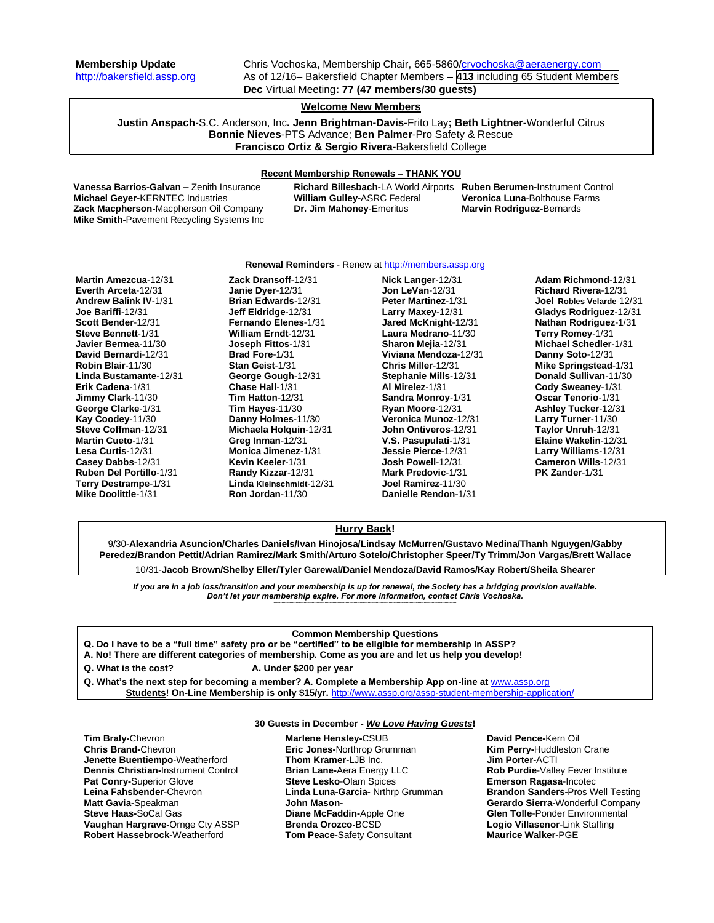**Membership Update** Chris Vochoska, Membership Chair, 665-5860[/crvochoska@aeraenergy.com](mailto:crvochoska@aeraenergy.com) [http://bakersfield.assp.org](http://bakersfield.assp.org/) As of 12/16– Bakersfield Chapter Members – **413** including 65 Student Members **Dec** Virtual Meeting**: 77 (47 members/30 guests)**

# **Welcome New Members**

**Justin Anspach**-S.C. Anderson, Inc**. Jenn Brightman-Davis**-Frito Lay**; Beth Lightner**-Wonderful Citrus **Bonnie Nieves**-PTS Advance; **Ben Palmer**-Pro Safety & Rescue **Francisco Ortiz & Sergio Rivera**-Bakersfield College

#### **Recent Membership Renewals – THANK YOU**

**Vanessa Barrios-Galvan –** Zenith Insurance **Richard Billesbach-**LA World Airports **Ruben Berumen-**Instrument Control **Michael Geyer-KERNTEC Industries Zack Macpherson-**Macpherson Oil Company **Dr. Jim Mahoney**-Emeritus **Marvin Rodriguez-**Bernards **Mike Smith-**Pavement Recycling Systems Inc

#### **Renewal Reminders** - Renew a[t http://members.assp.org](http://members.assp.org/)

**Martin Amezcua**-12/31 **Everth Arceta**-12/31 **Andrew Balink IV**-1/31 **Joe Bariffi**-12/31 **Scott Bender**-12/31 **Steve Bennett**-1/31 **Javier Bermea**-11/30 **David Bernardi**-12/31 **Robin Blair**-11/30 **Linda Bustamante**-12/31 **Erik Cadena**-1/31 **Jimmy Clark**-11/30 **George Clarke**-1/31 **Kay Coodey**-11/30 **Steve Coffman**-12/31 **Martin Cueto**-1/31 **Lesa Curtis**-12/31 **Casey Dabbs**-12/31 **Ruben Del Portillo**-1/31 **Terry Destrampe**-1/31 **Mike Doolittle**-1/31

**Zack Dransoff**-12/31 **Janie Dyer**-12/31 **Brian Edwards**-12/31 **Jeff Eldridge**-12/31 **Fernando Elenes**-1/31 **William Erndt**-12/31 **Joseph Fittos**-1/31 **Brad Fore**-1/31 **Stan Geist**-1/31 **George Gough**-12/31 **Chase Hall**-1/31 **Tim Hatton**-12/31 **Tim Hayes**-11/30 **Danny Holmes**-11/30 **Michaela Holquin**-12/31 **Greg Inman**-12/31 **Monica Jimenez**-1/31 **Kevin Keeler**-1/31 **Randy Kizzar**-12/31 **Linda Kleinschmidt**-12/31 **Ron Jordan**-11/30

**Nick Langer**-12/31 **Jon LeVan**-12/31 **Peter Martinez**-1/31 **Larry Maxey**-12/31 **Jared McKnight**-12/31 **Laura Medrano**-11/30 **Sharon Mejia**-12/31 **Viviana Mendoza**-12/31 **Chris Miller**-12/31 **Stephanie Mills**-12/31 **Al Mirelez**-1/31 **Sandra Monroy**-1/31 **Ryan Moore**-12/31 **Veronica Munoz**-12/31 **John Ontiveros**-12/31 **V.S. Pasupulati**-1/31 **Jessie Pierce**-12/31 **Josh Powell**-12/31 **Mark Predovic**-1/31 **Joel Ramirez**-11/30 **Danielle Rendon**-1/31

**Adam Richmond**-12/31 **Richard Rivera**-12/31 **Joel Robles Velarde**-12/31 **Gladys Rodriguez**-12/31 **Nathan Rodriguez**-1/31 **Terry Romey**-1/31 **Michael Schedler**-1/31 **Danny Soto**-12/31 **Mike Springstead**-1/31 **Donald Sullivan**-11/30 **Cody Sweaney**-1/31 **Oscar Tenorio**-1/31 **Ashley Tucker**-12/31 **Larry Turner**-11/30 **Taylor Unruh**-12/31 **Elaine Wakelin**-12/31 **Larry Williams**-12/31 **Cameron Wills**-12/31 **PK Zander**-1/31

## **Hurry Back!**

9/30-**Alexandria Asuncion/Charles Daniels/Ivan Hinojosa/Lindsay McMurren/Gustavo Medina/Thanh Nguygen/Gabby Peredez/Brandon Pettit/Adrian Ramirez/Mark Smith/Arturo Sotelo/Christopher Speer/Ty Trimm/Jon Vargas/Brett Wallace**

10/31-**Jacob Brown/Shelby Eller/Tyler Garewal/Daniel Mendoza/David Ramos/Kay Robert/Sheila Shearer**

*If you are in a job loss/transition and your membership is up for renewal, the Society has a bridging provision available. Don't let your membership expire. For more information, contact Chris Vochoska.*  **-------------------------------------------------------------------------------------------------------------------------------------------------------------**

# **Common Membership Questions**

**Q. Do I have to be a "full time" safety pro or be "certified" to be eligible for membership in ASSP?** 

**A. No! There are different categories of membership. Come as you are and let us help you develop!** 

- **Q. What is the cost? A. Under \$200 per year**
- **Q. What's the next step for becoming a member? A. Complete a Membership App on-line at** [www.assp.org](http://www.assp.org/)
	- **Students! On-Line Membership is only \$15/yr.** <http://www.assp.org/assp-student-membership-application/>

# **30 Guests in December -** *We Love Having Guests***!**

**Tim Braly-**Chevron **Chris Brand-**Chevron **Jenette Buentiempo**-Weatherford **Dennis Christian-**Instrument Control **Pat Conry-**Superior Glove **Leina Fahsbender**-Chevron **Matt Gavia-**Speakman **Steve Haas-**SoCal Gas **Vaughan Hargrave-**Ornge Cty ASSP **Robert Hassebrock-**Weatherford

**Marlene Hensley-**CSUB **Eric Jones-**Northrop Grumman **Thom Kramer-**LJB Inc. **Brian Lane-**Aera Energy LLC **Steve Lesko**-Olam Spices **Linda Luna-Garcia-** Nrthrp Grumman **John Mason-Diane McFaddin-**Apple One **Brenda Orozco-**BCSD **Tom Peace-**Safety Consultant

**David Pence-**Kern Oil **Kim Perry-**Huddleston Crane **Jim Porter-**ACTI **Rob Purdie**-Valley Fever Institute **Emerson Ragasa**-Incotec **Brandon Sanders-**Pros Well Testing **Gerardo Sierra-**Wonderful Company **Glen Tolle**-Ponder Environmental **Logio Villasenor**-Link Staffing **Maurice Walker-**PGE